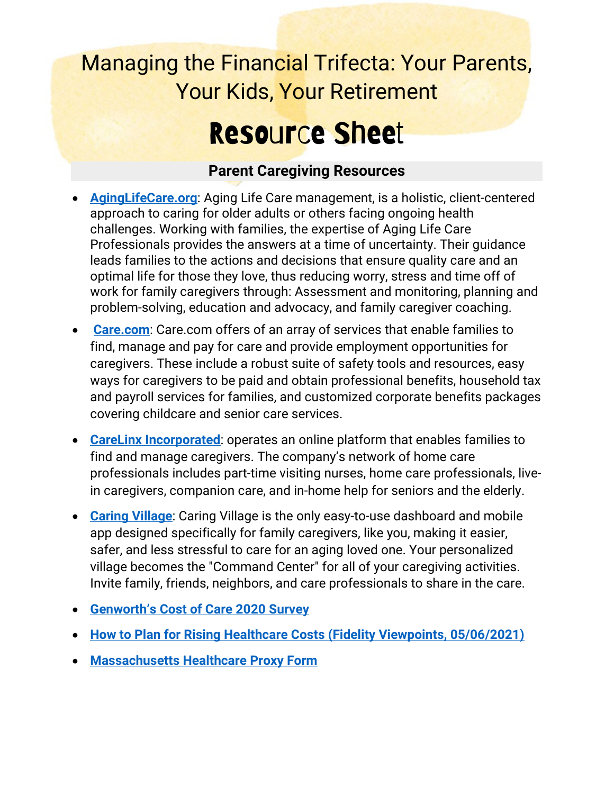### Managing the Financial Trifecta: Your Parents, Your Kids, Your Retirement

## Resource Sheet

#### **Parent Caregiving Resources**

- **[AgingLifeCare.org](https://www.aginglifecare.org/ALCAWEB/What_is_Aging_Life_Care/What_you_need_to_know.aspx)**: Aging Life Care management, is a holistic, client-centered approach to caring for older adults or others facing ongoing health challenges. Working with families, the expertise of Aging Life Care Professionals provides the answers at a time of uncertainty. Their guidance leads families to the actions and decisions that ensure quality care and an optimal life for those they love, thus reducing worry, stress and time off of work for family caregivers through: Assessment and monitoring, planning and problem-solving, education and advocacy, and family caregiver coaching.
- **[Care.com](https://www.care.com/)**: Care.com offers of an array of services that enable families to find, manage and pay for care and provide employment opportunities for caregivers. These include a robust suite of safety tools and resources, easy ways for caregivers to be paid and obtain professional benefits, household tax and payroll services for families, and customized corporate benefits packages covering childcare and senior care services.
- **[CareLinx Incorporated](https://www.carelinx.com/)**: operates an online platform that enables families to find and manage caregivers. The company's network of home care professionals includes part-time visiting nurses, home care professionals, livein caregivers, companion care, and in-home help for seniors and the elderly.
- **[Caring Village](https://www.caringvillage.com/)**: Caring Village is the only easy-to-use dashboard and mobile app designed specifically for family caregivers, like you, making it easier, safer, and less stressful to care for an aging loved one. Your personalized village becomes the "Command Center" for all of your caregiving activities. Invite family, friends, neighbors, and care professionals to share in the care.
- **[Genworth's Cost of Care 2020 Survey](https://www.genworth.com/aging-and-you/finances/cost-of-care.html)**
- **[How to Plan for Rising Healthcare Costs \(Fidelity Viewpoints, 05/06/2021\)](https://www.fidelity.com/viewpoints/personal-finance/plan-for-rising-health-care-costs#:%7E:text=How%20much%20is%20needed%20for,health%20care%20expenses%20in%20retirement.)**
- **[Massachusetts Healthcare Proxy Form](https://www.molst-ma.org/sites/molst-ma.org/files/MA-Health-Care-Proxy-Form.pdf)**